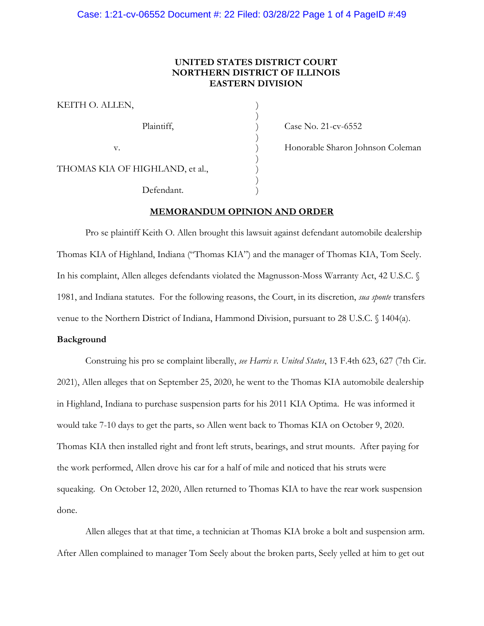# **UNITED STATES DISTRICT COURT NORTHERN DISTRICT OF ILLINOIS EASTERN DIVISION**

| KEITH O. ALLEN,                 |  |
|---------------------------------|--|
| Plaintiff,                      |  |
| v.                              |  |
| THOMAS KIA OF HIGHLAND, et al., |  |
| Defendant.                      |  |

) Case No. 21-cv-6552

) Honorable Sharon Johnson Coleman<br>)<br>)

#### **MEMORANDUM OPINION AND ORDER**

Pro se plaintiff Keith O. Allen brought this lawsuit against defendant automobile dealership Thomas KIA of Highland, Indiana ("Thomas KIA") and the manager of Thomas KIA, Tom Seely. In his complaint, Allen alleges defendants violated the Magnusson-Moss Warranty Act, 42 U.S.C. § 1981, and Indiana statutes. For the following reasons, the Court, in its discretion, *sua sponte* transfers venue to the Northern District of Indiana, Hammond Division, pursuant to 28 U.S.C. § 1404(a).

#### **Background**

Construing his pro se complaint liberally, *see Harris v. United States*, 13 F.4th 623, 627 (7th Cir. 2021), Allen alleges that on September 25, 2020, he went to the Thomas KIA automobile dealership in Highland, Indiana to purchase suspension parts for his 2011 KIA Optima. He was informed it would take 7-10 days to get the parts, so Allen went back to Thomas KIA on October 9, 2020. Thomas KIA then installed right and front left struts, bearings, and strut mounts. After paying for the work performed, Allen drove his car for a half of mile and noticed that his struts were squeaking. On October 12, 2020, Allen returned to Thomas KIA to have the rear work suspension done.

Allen alleges that at that time, a technician at Thomas KIA broke a bolt and suspension arm. After Allen complained to manager Tom Seely about the broken parts, Seely yelled at him to get out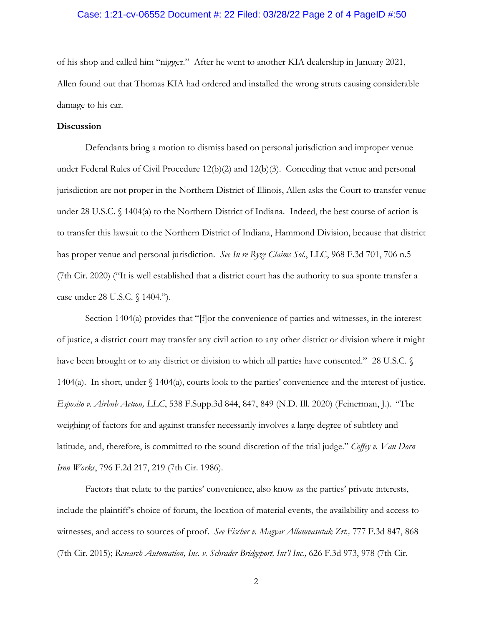### Case: 1:21-cv-06552 Document #: 22 Filed: 03/28/22 Page 2 of 4 PageID #:50

of his shop and called him "nigger." After he went to another KIA dealership in January 2021, Allen found out that Thomas KIA had ordered and installed the wrong struts causing considerable damage to his car.

### **Discussion**

Defendants bring a motion to dismiss based on personal jurisdiction and improper venue under Federal Rules of Civil Procedure 12(b)(2) and 12(b)(3). Conceding that venue and personal jurisdiction are not proper in the Northern District of Illinois, Allen asks the Court to transfer venue under 28 U.S.C. § 1404(a) to the Northern District of Indiana. Indeed, the best course of action is to transfer this lawsuit to the Northern District of Indiana, Hammond Division, because that district has proper venue and personal jurisdiction. *See In re Ryze Claims Sol.*, LLC, 968 F.3d 701, 706 n.5 (7th Cir. 2020) ("It is well established that a district court has the authority to sua sponte transfer a case under 28 U.S.C. § 1404.").

Section 1404(a) provides that "[f]or the convenience of parties and witnesses, in the interest of justice, a district court may transfer any civil action to any other district or division where it might have been brought or to any district or division to which all parties have consented." 28 U.S.C. § 1404(a). In short, under § 1404(a), courts look to the parties' convenience and the interest of justice. *Esposito v. Airbnb Action, LLC*, 538 F.Supp.3d 844, 847, 849 (N.D. Ill. 2020) (Feinerman, J.). "The weighing of factors for and against transfer necessarily involves a large degree of subtlety and latitude, and, therefore, is committed to the sound discretion of the trial judge." *Coffey v. Van Dorn Iron Works*, 796 F.2d 217, 219 (7th Cir. 1986).

Factors that relate to the parties' convenience, also know as the parties' private interests, include the plaintiff's choice of forum, the location of material events, the availability and access to witnesses, and access to sources of proof. *See Fischer v. Magyar Allamvasutak Zrt.,* 777 F.3d 847, 868 (7th Cir. 2015); *Research Automation, Inc. v. Schrader-Bridgeport, Int'l Inc.,* 626 F.3d 973, 978 (7th Cir.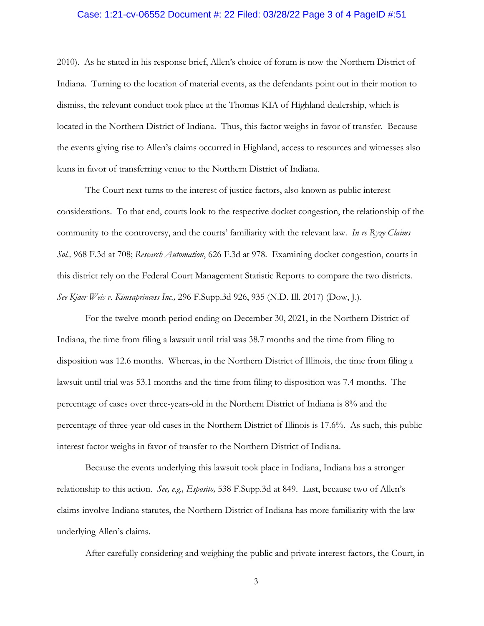### Case: 1:21-cv-06552 Document #: 22 Filed: 03/28/22 Page 3 of 4 PageID #:51

2010). As he stated in his response brief, Allen's choice of forum is now the Northern District of Indiana. Turning to the location of material events, as the defendants point out in their motion to dismiss, the relevant conduct took place at the Thomas KIA of Highland dealership, which is located in the Northern District of Indiana. Thus, this factor weighs in favor of transfer. Because the events giving rise to Allen's claims occurred in Highland, access to resources and witnesses also leans in favor of transferring venue to the Northern District of Indiana.

The Court next turns to the interest of justice factors, also known as public interest considerations. To that end, courts look to the respective docket congestion, the relationship of the community to the controversy, and the courts' familiarity with the relevant law. *In re Ryze Claims Sol.,* 968 F.3d at 708; *Research Automation*, 626 F.3d at 978. Examining docket congestion, courts in this district rely on the Federal Court Management Statistic Reports to compare the two districts. *See Kjaer Weis v. Kimsaprincess Inc.,* 296 F.Supp.3d 926, 935 (N.D. Ill. 2017) (Dow, J.).

For the twelve-month period ending on December 30, 2021, in the Northern District of Indiana, the time from filing a lawsuit until trial was 38.7 months and the time from filing to disposition was 12.6 months. Whereas, in the Northern District of Illinois, the time from filing a lawsuit until trial was 53.1 months and the time from filing to disposition was 7.4 months. The percentage of cases over three-years-old in the Northern District of Indiana is 8% and the percentage of three-year-old cases in the Northern District of Illinois is 17.6%. As such, this public interest factor weighs in favor of transfer to the Northern District of Indiana.

Because the events underlying this lawsuit took place in Indiana, Indiana has a stronger relationship to this action. *See, e.g., Esposito,* 538 F.Supp.3d at 849. Last, because two of Allen's claims involve Indiana statutes, the Northern District of Indiana has more familiarity with the law underlying Allen's claims.

After carefully considering and weighing the public and private interest factors, the Court, in